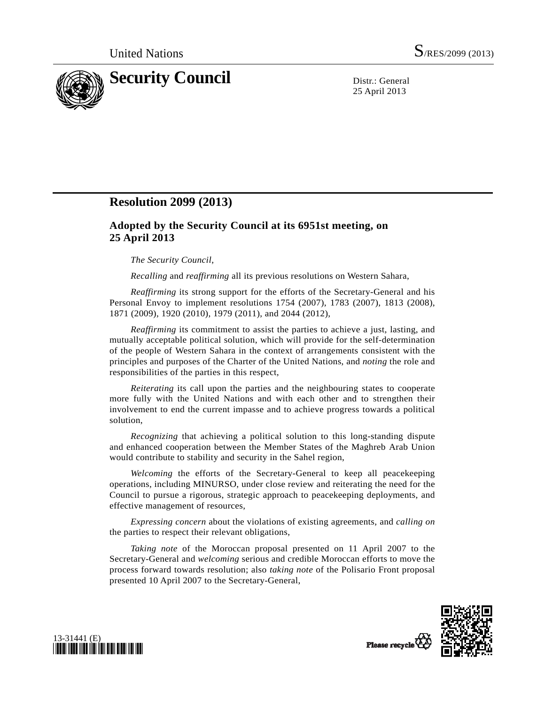

25 April 2013

## **Resolution 2099 (2013)**

## **Adopted by the Security Council at its 6951st meeting, on 25 April 2013**

## *The Security Council*,

*Recalling* and *reaffirming* all its previous resolutions on Western Sahara,

*Reaffirming* its strong support for the efforts of the Secretary-General and his Personal Envoy to implement resolutions 1754 (2007), 1783 (2007), 1813 (2008), 1871 (2009), 1920 (2010), 1979 (2011), and 2044 (2012),

*Reaffirming* its commitment to assist the parties to achieve a just, lasting, and mutually acceptable political solution, which will provide for the self-determination of the people of Western Sahara in the context of arrangements consistent with the principles and purposes of the Charter of the United Nations, and *noting* the role and responsibilities of the parties in this respect,

*Reiterating* its call upon the parties and the neighbouring states to cooperate more fully with the United Nations and with each other and to strengthen their involvement to end the current impasse and to achieve progress towards a political solution,

*Recognizing* that achieving a political solution to this long-standing dispute and enhanced cooperation between the Member States of the Maghreb Arab Union would contribute to stability and security in the Sahel region,

*Welcoming* the efforts of the Secretary-General to keep all peacekeeping operations, including MINURSO, under close review and reiterating the need for the Council to pursue a rigorous, strategic approach to peacekeeping deployments, and effective management of resources,

*Expressing concern* about the violations of existing agreements, and *calling on* the parties to respect their relevant obligations,

*Taking note* of the Moroccan proposal presented on 11 April 2007 to the Secretary-General and *welcoming* serious and credible Moroccan efforts to move the process forward towards resolution; also *taking note* of the Polisario Front proposal presented 10 April 2007 to the Secretary-General,





Please recycle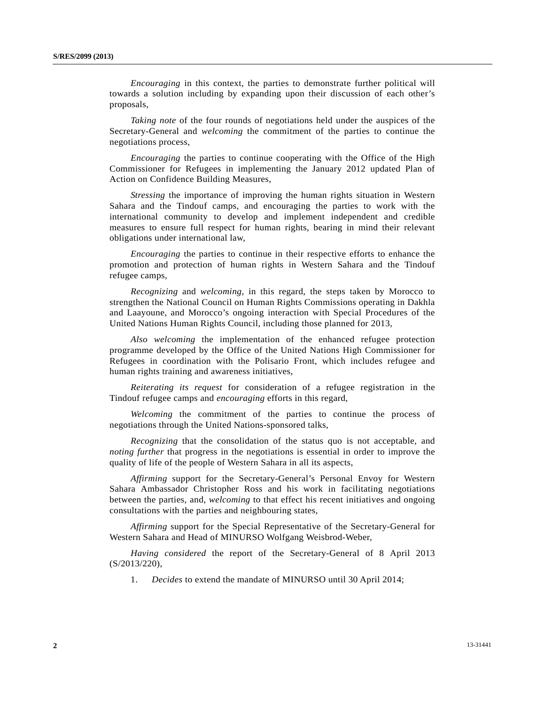*Encouraging* in this context, the parties to demonstrate further political will towards a solution including by expanding upon their discussion of each other's proposals,

*Taking note* of the four rounds of negotiations held under the auspices of the Secretary-General and *welcoming* the commitment of the parties to continue the negotiations process,

*Encouraging* the parties to continue cooperating with the Office of the High Commissioner for Refugees in implementing the January 2012 updated Plan of Action on Confidence Building Measures,

*Stressing* the importance of improving the human rights situation in Western Sahara and the Tindouf camps, and encouraging the parties to work with the international community to develop and implement independent and credible measures to ensure full respect for human rights, bearing in mind their relevant obligations under international law,

*Encouraging* the parties to continue in their respective efforts to enhance the promotion and protection of human rights in Western Sahara and the Tindouf refugee camps,

*Recognizing* and *welcoming*, in this regard, the steps taken by Morocco to strengthen the National Council on Human Rights Commissions operating in Dakhla and Laayoune, and Morocco's ongoing interaction with Special Procedures of the United Nations Human Rights Council, including those planned for 2013,

*Also welcoming* the implementation of the enhanced refugee protection programme developed by the Office of the United Nations High Commissioner for Refugees in coordination with the Polisario Front, which includes refugee and human rights training and awareness initiatives,

*Reiterating its request* for consideration of a refugee registration in the Tindouf refugee camps and *encouraging* efforts in this regard,

*Welcoming* the commitment of the parties to continue the process of negotiations through the United Nations-sponsored talks,

*Recognizing* that the consolidation of the status quo is not acceptable, and *noting further* that progress in the negotiations is essential in order to improve the quality of life of the people of Western Sahara in all its aspects,

*Affirming* support for the Secretary-General's Personal Envoy for Western Sahara Ambassador Christopher Ross and his work in facilitating negotiations between the parties, and, *welcoming* to that effect his recent initiatives and ongoing consultations with the parties and neighbouring states,

*Affirming* support for the Special Representative of the Secretary-General for Western Sahara and Head of MINURSO Wolfgang Weisbrod-Weber,

*Having considered* the report of the Secretary-General of 8 April 2013 (S/2013/220),

1. *Decides* to extend the mandate of MINURSO until 30 April 2014;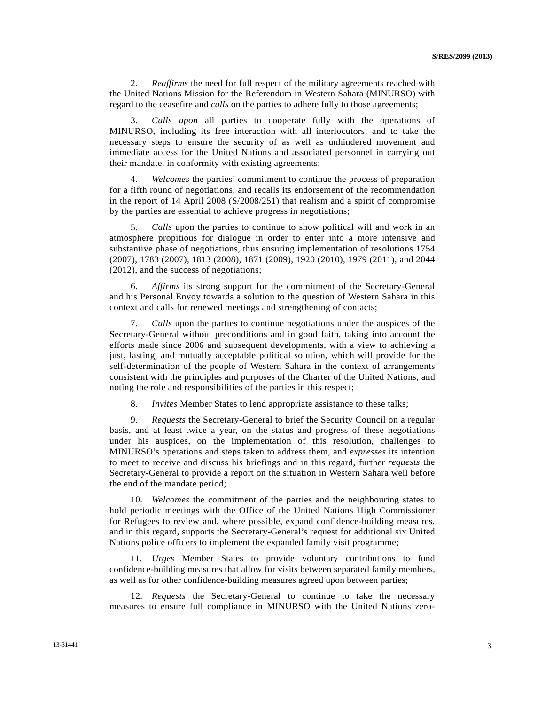2. *Reaffirms* the need for full respect of the military agreements reached with the United Nations Mission for the Referendum in Western Sahara (MINURSO) with regard to the ceasefire and *calls* on the parties to adhere fully to those agreements;

 3. *Calls upon* all parties to cooperate fully with the operations of MINURSO, including its free interaction with all interlocutors, and to take the necessary steps to ensure the security of as well as unhindered movement and immediate access for the United Nations and associated personnel in carrying out their mandate, in conformity with existing agreements;

 4. *Welcomes* the parties' commitment to continue the process of preparation for a fifth round of negotiations, and recalls its endorsement of the recommendation in the report of 14 April 2008 (S/2008/251) that realism and a spirit of compromise by the parties are essential to achieve progress in negotiations;

 5. *Calls* upon the parties to continue to show political will and work in an atmosphere propitious for dialogue in order to enter into a more intensive and substantive phase of negotiations, thus ensuring implementation of resolutions 1754 (2007), 1783 (2007), 1813 (2008), 1871 (2009), 1920 (2010), 1979 (2011), and 2044 (2012), and the success of negotiations;

 6. *Affirms* its strong support for the commitment of the Secretary-General and his Personal Envoy towards a solution to the question of Western Sahara in this context and calls for renewed meetings and strengthening of contacts;

 7. *Calls* upon the parties to continue negotiations under the auspices of the Secretary-General without preconditions and in good faith, taking into account the efforts made since 2006 and subsequent developments, with a view to achieving a just, lasting, and mutually acceptable political solution, which will provide for the self-determination of the people of Western Sahara in the context of arrangements consistent with the principles and purposes of the Charter of the United Nations, and noting the role and responsibilities of the parties in this respect;

8. *Invites* Member States to lend appropriate assistance to these talks;

 9. *Requests* the Secretary-General to brief the Security Council on a regular basis, and at least twice a year, on the status and progress of these negotiations under his auspices, on the implementation of this resolution, challenges to MINURSO's operations and steps taken to address them, and *expresses* its intention to meet to receive and discuss his briefings and in this regard, further *requests* the Secretary-General to provide a report on the situation in Western Sahara well before the end of the mandate period;

 10. *Welcomes* the commitment of the parties and the neighbouring states to hold periodic meetings with the Office of the United Nations High Commissioner for Refugees to review and, where possible, expand confidence-building measures, and in this regard, supports the Secretary-General's request for additional six United Nations police officers to implement the expanded family visit programme;

 11. *Urges* Member States to provide voluntary contributions to fund confidence-building measures that allow for visits between separated family members, as well as for other confidence-building measures agreed upon between parties;

 12. *Requests* the Secretary-General to continue to take the necessary measures to ensure full compliance in MINURSO with the United Nations zero